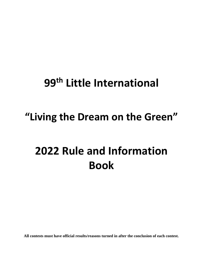# **99 th Little International**

# **"Living the Dream on the Green"**

# **2022 Rule and Information Book**

**All contests must have official results/reasons turned in after the conclusion of each contest.**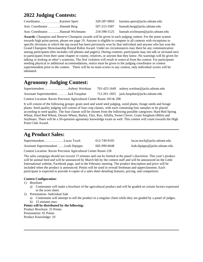# **2022 Judging Contests:**

| Coordinator Karmen Sperr         | 320-287-0003 | karmen.sperr@jacks.sdstate.edu    |
|----------------------------------|--------------|-----------------------------------|
| Asst. Coordinator Hannah Berg    | 507-215-3587 | hannah.berg@jacks.sdstate.edu     |
| Asst. CoordinatorHannah Wichmann | 218-398-5125 | hannah.wichmann@jacks.sdstate.edu |

**Awards**: Champion and Reserve Champion awards will be given in each judging contest. For the point system towards high point person, please see page 19. Anyone is eligible to compete in all contests with exceptions to specific divisions in which the top award has been previously won by that individual and anyone who has won the Grand Champion Showmanship Round Robin Award. Under no circumstances may there be any communication among participants (this includes cell phones and pagers). During contests, participants may not talk or sit/stand next to participants from their same chapter or county, relatives, or anyone that they know. No warnings will be given for talking or looking at other's scantrons. The first violation will result in removal from the contest. For participants needing physical or additional accommodations, notice must be given to the judging coordinator or contest superintendent prior to the contest. There will be no team scores in any contest, only individual scores will be tabulated.

# **Agronomy Judging Contest:**

l

|                                                                      |  |  | 701-425-1649 aubrey.weishar@jacks.sdstate.edu  |  |
|----------------------------------------------------------------------|--|--|------------------------------------------------|--|
| Assistant SuperintendentJack Farquhar                                |  |  | $712-261-1855$ jack.farquhar@jacks.sdstate.edu |  |
| Contest Location: Raven Precision Agricultural Center Room 183 & 298 |  |  |                                                |  |

l

l

It will consist of the following groups: grain seed and weed seed judging, weed plants, forage seeds and forage plants. Seed quality judging will consist of four crop classes, with each containing four samples to be placed according to seed quality. The four classes will be chosen from the following possible categories: Hard Red Spring Wheat, Hard Red Wheat, Durum Wheat, Barley, Flax, Rye, Alfalfa, Sweet Clover, Grain Sorghum (Milo) and Soybeans. There will be a 50-question agronomy knowledge exam as well. This contest will count towards the High Point Club Award.

# **Ag Product Sales:**

| SuperintendentLucas Tesch            | 612-749-9105 | lucas.tesch@jacks.sdstate.edu  |
|--------------------------------------|--------------|--------------------------------|
| Assistant SuperintendentLeah Dipippo | 605-999-6648 | leah.dipippo@jacks.sdstate.edu |
|                                      |              |                                |

Contest Location: Raven Precision Agricultural Center Room 228

The sales campaign should not exceed 15 minutes and can be limited at the panel's discretion. This year's product will be animal feed and will be announced by March 6th by the contest staff and will be announced on the Little International website, Facebook page, and in the February meeting. The product description and price will be included when the product is announced. Points will be used in overall freshman and upperclassmen. Each participant is expected to provide 4 copies of a sales sheet detailing features, pricing, and competitors.

#### **Contest Configuration:**

- 1) Brochure
	- a) Contestants will make a brochure of the agricultural product and will be graded on certain factors expressed in the score sheet.
- 2) Presentation- Individual Sale
	- a) Contestants will attempt to sell the product to a singular client while they are graded by a panel of judges.
	- b) 15 minutes max

#### **Points will be distributed by the following:** Product Brochure: 25 Points

Presentation: 65 Points Product Knowledge: 10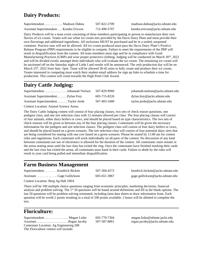# **Dairy Products:**

| Superintendent Madison Dahna            | 507-822-2709 | madison.dahna@jacks.sdstate.edu  |
|-----------------------------------------|--------------|----------------------------------|
| Assistant Superintendent Kendra Ericson | 712-490-5707 | kendra.ericson@jacks.sdstate.edu |

Dairy Products will be a team event consisting of three members participating in-person to manufacture their own flavors of ice cream. Teams will use white ice cream mix provided by the Davis Dairy Plant and must provide their own flavorings and additional ingredients. All inclusions MUST be purchased and be in a sealed, unopened container. Practice runs will not be allowed. All ice cream produced must pass the Davis Dairy Plant's Positive Release Program (PRP) requirements to be eligible to compete. Failure to meet the requirements of the PRP will result in disqualification from the contest. All team members must sign and be in compliance with Good Manufacturing Practices (GMP) and wear proper protective clothing. Judging will be conducted on March 30<sup>th</sup>, 2022 and will be divided evenly amongst three individuals who will evaluate the ice cream. The remaining ice cream will be auctioned off on the Saturday night of Little I and results will be announced. The *only* production day will be on March 25<sup>th</sup>, 2022 from 9am -5pm. Team will be allowed 30-45 mins to fully create and produce their ice cream. Teams interested in competing must watch their student email address for sign up links to schedule a time for production. This contest will count towards the High Point Club Award.

# **Dairy Cattle Judging:**

| SuperintendentJohannah Nielsen       | 507-829-9960 | johannah.nielsen@jacks.sdstate.edu |
|--------------------------------------|--------------|------------------------------------|
| Assistant SuperintendentDylan Frey   | 605-715-8226 | dylan.frey@jacks.sdstate.edu       |
| Assistant SuperintendentTaylor Jerde | 507-403-1680 | taylor.jerde@jacks.sdstate.edu     |
|                                      |              |                                    |

l

Contest Location: Animal Science Arena

The Dairy Cattle Judging contest will consist of four placing classes, two sets of check reason questions, one pedigree class, and one sire selection class with 12 minutes allowed per class. The four placing classes will consist of four animals, either dairy heifers or cows, and should be placed based on type characteristics. The two sets of check reasons will be given in between any of the four placing classes. Contestants will be given the necessary information for the pedigree and sire selection classes. The pedigree class will consist of four dairy heifers or cows, and should be placed based on a given scenario. The sire selection class will consist of four potential dairy sires that are being considered for mating with one cow based on a given scenario. Please be seated by 11:00 am for contest rules and regulations. Each contestant will work individually on all parts of the contest. No discussion of any kind between contestants nor use of electronics is allowed for the duration of the contest. All contestants must remain in the arena seating areas until the last class has exited the ring. Once the contestants have finished marking their cards and the last class has exited the arena, all contestants must hand in their cards. Failure to abide by the rules will result in your card being pulled and immediate disqualification.

### **Farm Business Management**

| Superintendent Kendrick Bickett | 507-360-4272 | kendrick.bickett@jacks.sdstate.edu |
|---------------------------------|--------------|------------------------------------|
| Assistant Gage Gullickson       | 605-651-3867 | gage.gullickson@jacks.sdstate.edu  |

Contest Location: Berg Ag Hall 100A

There will be 100 multiple choice questions ranging from economic principles, marketing decisions, financial analysis and problem solving. The  $1<sup>st</sup> 50$  questions will be based around definitions and fill in the blank options. The last 50 questions will be problem solving orientated, including farm data sheets to draw information from. Each question will be worth 2 points resulting in a total of 200 points available. 2 hours will be allotted to complete the test.

l

### **Floriculture:**

l

Superintendent…………………. Megan Linke 605-770-7304 megan.linke@sdstate.jacks.edu Assistant……………………… ..Regan Jacoby 507-587-8061 regan.jacoby@jacks.sdstate.edu Contestant Location: Ag Engineering 208 The Floriculture contest will include: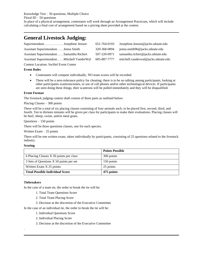Knowledge Test – 50 questions, Multiple Choice Floral ID  $-50$  questions In place of a physical arrangement, contestants will work through an Arrangement Practicum, which will include calculating a final cost of arrangement based on a pricing sheet provided at the contest.

### **General Livestock Judging:**

| SuperintendentJosephine Jenson                  | 651-764-0193 | Josephine.Jenson@jacks.sdstate.edu   |
|-------------------------------------------------|--------------|--------------------------------------|
| Assistant SuperintendentJenna Smith             | 320-368-0894 | jenna.smith96@jacks.sdstate.edu      |
| Assistant SuperintendentSamantha Richert        | 507-220-0971 | samantha.richert@jacks.sdstate.edu   |
| Assistant SuperintendentMitchell VanderWal      | 605-887-7777 | mitchell.vanderwal@jacks.sdstate.edu |
| $\alpha$ . I . $\alpha$ . $\alpha$ . $\alpha$ . |              |                                      |

Contest Location: Swiftel Event Center

#### **Event Rules**

l

- Contestants will compete individually. NO team scores will be recorded.
- There will be a zero-tolerance policy for cheating; there is to be no talking among participants, looking at other participants scantrons/notes, or use of cell phones and/or other technological devices. If participants are seen doing these things, their scantrons will be pulled immediately and they will be disqualified.

#### **Event Format**

The livestock judging contest shall consist of three parts as outlined below:

#### Placing Classes – 300 points

There will be a total of six placing classes consisting of four animals each, to be placed first, second, third, and fourth. Ten to thirteen minutes will be given per class for participants to make their evaluations. Placing classes will be beef, sheep, swine, and/or meat goats.

Questions – 150 points

There will be three questions classes, one for each species.

Written Exam – 25 points

There will be one written exam, taken individually by participants, consisting of 25 questions related to the livestock industry.

#### **Scoring**

|                                         | <b>Points Possible</b> |
|-----------------------------------------|------------------------|
| 6 Placing Classes X 50 points per class | 300 points             |
| 3 Sets of Questions X 50 points per set | 150 points             |
| Written Exam X 25 points                | 25 points              |
| <b>Total Possible Individual Score</b>  | 475 points             |

#### **Tiebreakers**

.

In the case of a team tie, the order to break the tie will be:

- 1. Total Team Questions Score
- 2. Total Team Placing Score
- 3. Decision at the discretion of the Executive Committee

In the case of an individual tie, the order to break the tie will be:

- 1. Individual Questions Score
- 2. Individual Placing Score
- 3. Decision at the discretion of the Executive Committee

l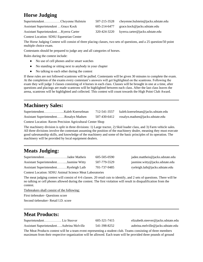# **Horse Judging**

| SuperintendentCheyenne Hulstein       | 507-215-3528 | cheyenne.hulstein@jacks.sdstate.edu |
|---------------------------------------|--------------|-------------------------------------|
| Assistant Superintendent Grace Kock   | 605-214-6477 | grace.kock@jacks.sdstate.edu        |
| Assistant SuperintendentKyerra Carter | 320-424-3220 | kyerra.carter@jacks.sdstate.edu     |

Contest Location: SDSU Equestrian Center

The Horse Judging Contest will consist of three placing classes, two sets of questions, and a 25 question/50 point multiple choice exam.

Contestants should be prepared to judge any and all categories of horses.

Rules during the contest include:

- No use of cell phones and/or smart watches
- No standing or sitting next to anybody in your chapter
- No talking to each other during the contest

If these rules are not followed scantrons will be pulled. Contestants will be given 30 minutes to complete the exam. At the completion of the exams every contestant's answers will get highlighted on the scantrons. Following the exam they will judge 3 classes consisting of 4 horses in each class. Classes will be brought in one at a time, after questions and placings are made scantrons will be highlighted between each class. After the last class leaves the arena, scantrons will be highlighted and collected. This contest will count towards the High Point Club Award.

# **Machinery Sales:**

l

|                                                                   | 712-541-3557 | kaleb.koerselman@jacks.sdstate.edu |
|-------------------------------------------------------------------|--------------|------------------------------------|
| Assistant SuperintendentRosalyn Madsen                            | 507-430-6412 | rosalyn.madsen@jacks.sdstate.edu   |
| <b>Contest Location: Raven Precision Agricultural Center Shop</b> |              |                                    |

l

The machinery division is split in three divisions: 1) Large tractor, 2) Skid loader class, and 3) Farm vehicle sales. All three divisions involve the contestant assuming the position of the machinery dealer, meaning they must execute good salesmanship skills, and knowledge of the machinery and some of the basic principles of its operation. The machinery will be provided by local equipment dealers.

# **Meats Judging:**

| SuperintendentJadee Matheis           | 605-505-0590 | jadee.mattheis@jacks.sdstate.edu |
|---------------------------------------|--------------|----------------------------------|
| Assistant SuperintendentJasmine Witty | 507-779-5529 | jasmine.witty@jacks.sdstate.edu  |
| Assistant SuperintendentRyeleigh Laib | 701-737-9485 | ryeleigh.laib@jacks.sdstate.edu  |

Contest Location: SDSU Animal Science Meat Laboratories

The meat judging contest will consist of 4-6 classes. 20 retail cuts to identify, and 2 sets of questions. There will be no talking or cell phones allowed during the contest. The first violation will result in disqualification from the contest.

Tiebreakers shall consist of the following:

First tiebreaker- Questions score

Second tiebreaker- Retail I.D. score

# **Meat Products:**

l

|                                          | 605-321-7415 | elizabeth.steever@jacks.sdstate.edu |
|------------------------------------------|--------------|-------------------------------------|
| Assistant SuperintendentAubrina Melville | 541-398-8252 | aubrina.melville@jacks.sdstate.edu  |

The Meat Products contest will be a team event representing a student club. Teams consisting of three members maximum from their respective organization will be allowed. Each team will be provided three pounds of ground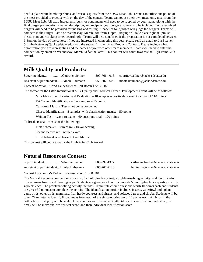beef, 4 plain white hamburger buns, and various spices from the SDSU Meat Lab. Teams can utilize one pound of the meat provided to practice with on the day of the contest. Teams cannot use their own meat, only meat from the SDSU Meat Lab. All extra ingredients, buns, or condiments will need to be supplied by your team. Along with the final burger presentation, a name, description, and recipe of your burger also needs to be included. Two assembled burgers will need to be provided for judging and tasting. A panel of four judges will judge the burgers. Teams will compete in the Burger Battle on Wednesday, March 30th from 1-3pm. Judging will take place right at 3pm, so please plan your cooking times accordingly. Teams will be disqualified if the preparation is not completed between 1-3pm on the day of the contest. If you are interested in competing this year, please send an email to Liz Steever (elizabeth.steever@jacks.sdstate.edu) with the subject "Little I Meat Products Contest". Please include what organization you are representing and the names of your two other team members. Teams will need to enter the competition by email on Wednesday, March 23<sup>rd</sup> at the latest. This contest will count towards the High Point Club Award.

### **Milk Quality and Products:**

l

l

l

| SuperintendentCourtney Sellner                                                                                 | 507-766-4016 | courtney.sellner@jacks.sdstate.edu |  |  |
|----------------------------------------------------------------------------------------------------------------|--------------|------------------------------------|--|--|
| Assistant SuperintendentNicole Baumann                                                                         | 952-607-0609 | nicole.baumann@jacks.sdstate.edu   |  |  |
| Contest Location: Alfred Dairy Science Hall Room 122 & 116                                                     |              |                                    |  |  |
| The format for the Little International Milk Quality and Products Career Development Event will be as follows: |              |                                    |  |  |
| Milk Flavor Identification and Evaluation $-10$ samples $-$ positively scored to a total of 110 points         |              |                                    |  |  |
| Fat Content Identification – five samples – 15 points                                                          |              |                                    |  |  |
| California Mastitis Test – not being conducted                                                                 |              |                                    |  |  |
| Cheese Identification $-5$ samples, with classification matrix $-50$ points                                    |              |                                    |  |  |
| Written Test – two-part exam – 60 questions total – 120 points                                                 |              |                                    |  |  |
| Tiebreakers shall consist of the following:                                                                    |              |                                    |  |  |
| First tiebreaker $-$ sum of milk flavor scoring                                                                |              |                                    |  |  |
| Second tiebreaker – written exam                                                                               |              |                                    |  |  |
| Third tiebreaker – cheese ID and Matrix                                                                        |              |                                    |  |  |
| This contest will count towards the High Point Club Award.                                                     |              |                                    |  |  |

# **Natural Resources Contest:**

| SuperintendentCatherine Bechen          | 605-999 |
|-----------------------------------------|---------|
| Assistant SuperintendentHunter Haberman | 605-760 |

 $S-1377$  catherine.bechen @jacks.sdstate.edu Assistant Assistant Superintendents hunter.haberman@jacks.sdstate.edu

Contest Location: McFadden Biostress Room 179 & 181

The Natural Resource competition consists of a multiple-choice test, a problem-solving activity, and identification of specimens from six different groups. Students are given one hour to complete 50 multiple-choice questions worth 4 points each. The problem-solving activity includes 10 multiple choice questions worth 10 points each and students are given 30 minutes to complete the activity. The identification portion includes insects, waterfowl and upland game birds, other birds, mammals, fish, hardwood trees and shrubs, and softwood trees and shrubs. Students will be given 72 minutes to identify 8 specimens from each of the six categories worth 12 points each. All birds in the "other birds" category will be male. All specimens are relative to South Dakota. In case of an individual tie, the break will be individual written test score, and then individual identification score.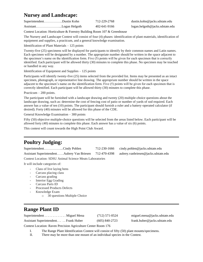# **Nursey and Landscape:**

| SuperintendentDustin Kohn | 712-229-2768 | $d$ ustin.kohn@jacks.sdstate.edu |
|---------------------------|--------------|----------------------------------|
|                           | 402-641-9166 | logan.helgoth@jacks.sdstate.edu  |

Contest Location: Horticulture & Forestry Building Room 107 & Greenhouse

The Nursery and Landscape Contest will consist of four (4) phases: identification of plant materials, identification of equipment and supplies, a practicum, and a general knowledge examination.

Identification of Plant Materials – 125 points

Twenty-five (25) specimens will be displayed for participants to identify by their common names and Latin names. Each specimen will be designated by a number. The appropriate number should be written in the space adjacent to the specimen's name on the identification form. Five (5) points will be given for each specimen that is correctly identified. Each participant will be allowed thirty (30) minutes to complete this phase. No specimen may be touched or handled in any way.

Identification of Equipment and Supplies – 125 points

Participants will identify twenty-five (25) items selected from the provided list. Items may be presented as an intact specimen, photograph, or representative line drawing. The appropriate number should be written in the space adjacent to the specimen's name on the identification form. Five (5) points will be given for each specimen that is correctly identified. Each participant will be allowed thirty (30) minutes to complete this phase.

Practicum – 200 points.

The participant will be furnished with a landscape drawing and twenty (20) multiple-choice questions about the landscape drawing, such as: determine the cost of fencing cost of patio or number of yards of sod required. Each answer has a value of ten (10) points. The participant should furnish a ruler and a battery-operated calculator (if desired). Forty (40) minutes will be allowed for this phase of the CDE.

General Knowledge Examination – 300 points

Fifty (50) objective multiple-choice questions will be selected from the areas listed below. Each participant will be allowed forty (40) minutes to complete this phase. Each answer has a value of six (6) points.

This contest will count towards the High Point Club Award.

# **Poultry Judging:**

l

l

| SuperintendentCindy Pohlen |  | $712-230-1666$ cindy.pohlen@jacks.sdstate.edu                                               |
|----------------------------|--|---------------------------------------------------------------------------------------------|
|                            |  | Assistant SuperintendentAubrey Van Briesen 712-470-4398 aubrey.vanbriesen@jacks.sdstate.edu |

Contest Location: SDSU Animal Science Meats Laboratories

It will include categories of:

- Class of live laying hens
- Carcass placing class
- Carcass grading
- Interior Egg Grading
- Carcass Parts ID
- Processed Products Defects
- Knowledge Exam
	- o 30 questions Multiple Choice

# **Range Plant ID**

Superintendent . . . . . . . . . . . . . Miguel Mena (712) 571-0524 miguel.mena@jacks.sdstate.edu Assistant Superintendent. . . . . Frank Huber (605) 840-2723 frank.huber@jacks.sdstate.edu

Contest Location: Raven Precision Agriculture Center Room 176

I. The Range Plant Identification Contest will consist of fifty (50) plant mounts/specimens.

II. There may be more than one mount of an individual species in the Contest.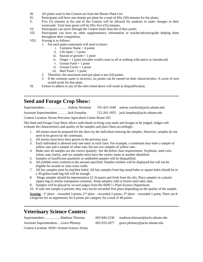- III. All plants used in this Contest are from the Master Plant List.
- IV. Participants will have one minute per plant for a total of fifty (50) minutes for the plants.
- V. Five (5) minutes at the end of the Contest will be allowed for students to make changes to their scorecards. Total time given will be fifty-five (55) minutes.
- VI. Participants can move through the Contest faster than this if they prefer.
- VII. Participants can have no other supplementary information or teacher/advisor/guide helping them throughout their competition.
- VIII. Scoring is as follows:
	- 1. For each plant contestants will need to know:
		- i. Common Name  $=$  4 points
		- ii. Life Span = 1 point
		- iii. Season of growth  $= 1$  point
		- iv. Origin = 1 point (invader would count as all or nothing with native or introduced)
		- v. Grouse Food  $= 1$  point
		- vi. Grouse Cover  $= 1$  point
		- vii. Beef Food  $= 1$  point
	- 2. Therefore, the maximum total per plant is ten (10) points.
	- 3. If the common name is incorrect, no points can be earned on their characteristics. A score of zero would result for that plant.
- IX. Failure to adhere to any of the rules listed above will result in disqualification.

### **Seed and Forage Crop Show:**

l

l

|                                       |  | $701-425-1649$ aubrey.weishar@jacks.sdstate.edu |
|---------------------------------------|--|-------------------------------------------------|
| Assistant SuperintendentJack Farquhar |  | 712-261-1855 jack.farquhar@jacks.sdstate.edu    |

#### Contest Location: Raven Precision Agriculture Center Room 183

The Seed and Forage Crop Show allows individuals to bring crop seeds and forages to be judged. Judges will evaluate the characteristics and quality of the samples and place them accordingly.

- 1. All entries must be prepared for the show by the individual entering the samples. However, samples do not need to be grown by the contestant.
- 2. All entries must have been grown in the previous year.
- 3. Each individual is allowed only one entry in each class. For example, a contestant may enter a sample of yellow oats and a sample of white oats, but not two samples of yellow oats.
- 4. Make sure all samples are the correct quantity. See the below class requirements. Soybeans, seed corn, wheat, oats, barley, and rye samples must have the variety name or number identified.
- 5. Samples of insufficient quantities or unlabeled samples will be disqualified.
- 6. All exhibits must conform to the amount specified. Smaller exhibits will be displayed but will not be eligible for awards or class extra credit.
- 7. All hay samples must be machine baled. All hay samples from big round bales or square bales should be in a 30-gallon trash bag full will be enough.
- 8. Silage samples should be representative (2-3) quarts and fresh from the silo. Place samples in a plastic zipper bag or similar transparent container. Keep samples cold or frozen until entry date.
- 9. Samples will be placed by several judges from the SDSU's Plant Science Department.
- 10. If only one sample is present, they may not be rewarded first place depending on the quality of the sample.

**Scoring -** 1<sup>st</sup> place – rewarded 3 points,  $2^{nd}$  place – rewarded 2 points,  $3^{rd}$  place – rewarded 1 point; There are 8 categories for an opportunity for 6 points per category for a total of 48 points.

### **Veterinary Science Contest:**

|                                              | 605-840-2238 | madison.thieman@jacks.sdstate.edu |
|----------------------------------------------|--------------|-----------------------------------|
| <b>Assistant SuperintendentGrace Phinney</b> | 605-933-2877 | grace.phinney@jacks.sdstate.edu   |
| Contest Location: SDSU Animal Science Arena  |              |                                   |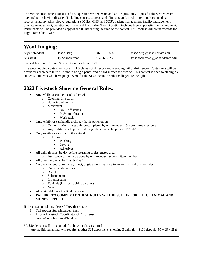The Vet Science contest consists of a 50 question written exam and 65 ID questions. Topics for the written exam may include behavior, diseases (including causes, sources, and clinical signs), medical terminology, medical records, anatomy, physiology, regulations (OSHA, GHS, and SDS), patient management, facility management, practice management, genetics, nutrition, and husbandry. The ID portion includes breeds, parasites, and equipment.. Participants will be provided a copy of the ID list during the time of the contest. This contest will count towards the High Point Club Award.

# **Wool Judging:**

l

l

l

| Superintendent Isaac Berg | 507-215-2607 | isaac.berg@jacks.sdstate.edu     |
|---------------------------|--------------|----------------------------------|
|                           | 712-260-5236 | ty.schoelerman@jacks.sdstate.edu |

Contest Location: Animal Science Complex Room 129

The wool judging contest will consist of 3 classes of 4 fleeces and a grading rail of 4-6 fleeces. Contestants will be provided a scorecard but will want to bring a pencil and a hard surface to write on. This contest is open to all eligible students. Students who have judged wool for the SDSU teams or other colleges are ineligible.

# **2022 Livestock Showing General Rules:**

- Any exhibitor can help each other with:
	- o Catching Livestock
	- o Haltering of animal
	- o Movement
		- On & off stands
		- In  $&$  out of trailer
		- Wash rack
- Only exhibitor can handle a clipper that is powered on
	- $\circ$  Demonstrations must only be completed by unit managers  $\&$  committee members
	- o Any additional clippers used for guidance must be powered "OFF"
- Only exhibitor can fit/clip the animal
	- o Including:
		- Washing
		- Drying
		- Adhesives
- All animals must be dry before returning to designated area
	- $\circ$  Assistance can only be done by unit manager & committee members
- All other help must be "hands free"
- No one can feed, administer, inject, or give any substance to an animal, and this includes:
	- o Oral (marshmallow)
	- o Rectal
	- o Subcutaneous
	- Intramuscular
	- o Topicals (icy hot, rubbing alcohol)
	- o Nasal
- AGM  $&$  GM have the final decision
- **FAILURE TO COMPLY TO THESE RULES WILL RESULT IN FORFEIT OF ANIMAL AND MONEY DEPOSIT**

If there is a complaint, please follow these steps:

- 1. Tell species Superintendent first
- 2. Inform Livestock Coordinator of 2<sup>nd</sup> offense
- 3. Grady/Cody last resort/final call

\*A \$50 deposit will be required if a showman has **1** animal

- Any additional animal will require another \$25 deposit (i.e. showing 3 animals = \$100 deposit ( $50 + 25 + 25$ ))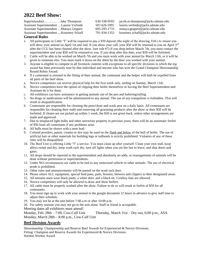# **2022 Beef Show:**

| SuperintendentJake Thompson               | 630-338-9593 | jacob.m.thompson@jacks.sdstate.edu |
|-------------------------------------------|--------------|------------------------------------|
| Assistant Superintendent  Lauren Verlinde | 507-626-5991 | lauren.verlinde@jacks.sdstate.edu  |
| Assistant Superintendent Mataya Geppert   | 605-295-1733 | mataya.geppert@jacks.sdstate.edu   |
| Assistant Superintendent  Kourtney Schaff | 701-934-1353 | kourtney.schaff@jacks.sdstate.edu  |
|                                           |              |                                    |

#### **General Rules**

- 1. All participants in Little "I" will be required to pay a \$50 deposit (the night of the drawing, Feb.) to insure you will show your animal on April 1st and 2nd. If you show your calf, your \$50 will be returned to you on April  $3^{rd}$ after the CCU has been cleaned after the show. (see rule #7) If you drop before March 7th, you must contact the superintendent and your \$50 will be returned to you. If you drop after this date, your \$50 will be forfeited.
- 2. Cattle will be able to be worked on March 7th and you must work with your animal by March 11th, or it will be given to someone else. You must mark it down on the sheet by the door you worked with your animal.
- 3. Anyone is eligible to compete in all livestock contests with exceptions to all specific divisions in which the top award has been previously won by that individual and anyone who has won the Grand Champion Showmanship Round Robin Award.
- 4. If a contestant is assisted in the fitting of their animal, the contestant and the helper will both be expelled from all parts of the beef show.
- a. Novice competitors can receive physical help for the first week only, ending on Sunday, March 11th.
- b. Novice competitors have the option of clipping their heifer themselves or having the Beef Superintendent and Assistant do it for them.
- c. All exhibitors can have assistance in getting animals out of the pen and haltering/tailing.
- 5. No drugs or medications will be administered to any animal. The use of any tranquilizer is forbidden. This will result in disqualification.
- 6. Contestants are responsible for cleaning the pens/chute and wash area on a daily basis. All contestants are responsible for cleaning their stalls and removing all grooming products after the show or their \$50 will be forfeited. If chutes are not picked up within 1 week, the \$50 is not given back, unless other arrangements are made and approved.
- 7. Due to misplaced light bulbs and other university property in previous years, there will be an automatic forfeit of \$50 from all contestants if any problems arise.
- 8. All bulls must be shown with a nose lead.
- 9. Colored powders, paints, creams or dye may be used on the flank and below of the bull of heifer. The use of artificial hair or other materials for building legs or tailheads is strictly prohibited. Violators of any of these rules will be disqualified.
- 10. The Beef Unit is offering Little "I" a service. You must clean up after yourself. Clean your own stall, keep alleys swept and dry, keep wash rack dry, turn off lights when you are the last to leave, and shut doors and gates.
- 11. All drops should be reported to the superintendent and absolutely no adds, or reassignments of animals will be done without permission or superintendents.
- 12. Under NO circumstances are cattle to be tied to any motorized vehicle or other animals. The use of electrical prods is prohibited.
- 13. Other rules and announcements will be posted on the wash rack door.
- 14. Please return ALL equipment, special feed pans, pails, brooms, blowers and clippers to their designated areas.
- 15. All entrants must wear black pants, a white shirt, and a black tie. Cowboy hats are allowed.
- 16. Novice competitors will only be allowed to draw and show heifers.
- 17. All cattle must be properly washed after the show. Failure to do so will result in forfeit of \$50 for all contestants.
- 18. You must sign up to work with your animal in the google document 12 hours in advance to give staff time to adjust their schedule.
- 19. You may not be at the unit before 7:00 a.m or after 10:00 p.m.
- 20. For safety reasons you may not go to the unit alone. Staff or friend is acceptable.
- Meeting dates all exhibitors must attend!

Monday, Feb. 28th – 7:00, Cow-Calf Unit Thursday, March 31st – Dry run, 6:00 p.m., ASA Monday, March 28th – 8:00 p.m., Cow-Calf Unit

#### **Beef Division Awards**

Showmanship: Championship and Reserve Beef Awards for Experienced & Novice Divisions. Fitting: Champion and Reserve Awards for Experienced & Novice Divisions Hardest Worker Award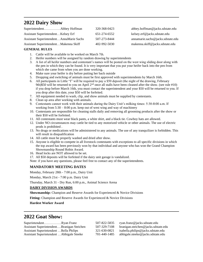# **2022 Dairy Show**

l

|                                         | 320-368-0423 | abbey.hoffman@jacks.sdstate.edu   |
|-----------------------------------------|--------------|-----------------------------------|
| Assistant Superintendent Kelsey Erf     | 651-274-6552 | kelsey.erf@jacks.sdstate.edu      |
| Assistant SuperintendentAnnaMarie Sachs | 507-273-8444 | annamarie.sachs@jacks.sdstate.edu |
| Assistant SuperintendentMakenna Skiff   | 402-992-5030 | makenna.skiff@jacks.sdstate.edu   |

#### **GENERAL RULES**

- 1. Cattle will be available to be worked on March 7th.
- 2. Heifer numbers will be assigned by random drawing by superintendents
- 3. A list of all heifer numbers and contestant's names will be posted on the west wing sliding door along with the pen in which they can be found. It is very important that you put your heifer back into the pen from which she came from when you are done working.
- 4. Make sure your heifer is dry before putting her back outside
- 5. Dropping and switching of animals must be first approved with superintendents by March 16th.
- 6. All participants in Little "I" will be required to pay a \$50 deposit (the night of the drawing, February 9th)\$50 will be returned to you on April 2nd once all stalls have been cleaned after the show. (see rule #10) if you drop before March 16th, you must contact the superintendent and your \$50 will be returned to you. If you drop after this date, your \$50 will be forfeited.
- 7. All equipment needed to wash, clip, and show animals must be supplied by contestants.
- 8. Clean up area after working with animals.
- 9. Contestants cannot work with their animals during the Dairy Unit's milking times: 5:30-8:00 a.m. If working from 5:30 – 8:00 p.m. keep out of west wing and way of machinery
- 10. Contestants are responsible for cleaning stalls daily and removing all grooming products after the show or their \$50 will be forfeited.
- 11. All contestants must wear black pants, a white shirt, and a black tie. Cowboy hats are allowed.
- 12. Under NO circumstances may cattle be tied to any motorized vehicle or other animals. The use of electric prods is prohibited .
- 13. No drugs or medications will be administered to any animals. The use of any tranquilizer is forbidden. This will result in disqualification
- 14. All cattle must be properly washed and dried after show.
- 15. Anyone is eligible to compete in all livestock contestants with exceptions to all specific divisions in which the top award has been previously won by that individual and anyone who has won the Grand Champion Showmanship Round Robin Award.
- 16. Head locks are NOT allowed to be set.
- 17. All \$50 deposits will be forfeited if the dairy unit garage is vandalized.
- Note: if you have any questions, please feel free to contact any of the superintendents.

#### **MANDATORY MEETING DATES**

Monday, February 28th - 7:00 p.m., Dairy Unit

Monday, March 21st - 7:00 p.m. Dairy Unit

Thursday, March 31 - Dry Run, 6:00 p.m., Animal Science Arena

#### **DAIRY DIVISION AWARDS**

**Showmanship:** Champion and Reserve Awards for Experienced & Novice Divisions

**Fitting:** Champion and Reserve Awards for Experienced & Novice Divisions

**Hardest Worker Award**

# **2022 Goat Show:**

l

| SuperintendentRvan Franz                  | 507-822-5835 | ryan.franz@jacks.sdstate.edu        |
|-------------------------------------------|--------------|-------------------------------------|
| Assistant SuperintendentBranigan Steichen | 507-329-7108 | branigan.steichen@jacks.sdstate.edu |
| Assistant Superintendent  Bella Philips   | 321-630-0821 | isabella.philips@jacks.sdstate.edu  |
| Assistant Superintendent Abbigale Steeke  | 701-440-1485 | abbigale.steeke@jacks.sdstate.edu   |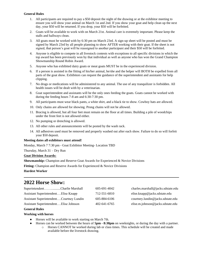#### **General Rules**

- 1. All participants are required to pay a \$50 deposit the night of the drawing or at the exhibitor meeting to ensure you will show your animal on March 1st and 2nd. If you show your goat and help clean up the next day, your \$50 will be returned. If you drop, your \$50 will be forfeited.
- 2. Goats will be available to work with on March 21st. Animal care is extremely important. Please keep the stalls and hallways clean.
- 3. All goats must be worked with by 6:30 pm on March 23rd. A sign-up sheet will be posted and must be signed by March 23rd by all people planning to show AFTER working with their goat. If the sheet is not signed, that person's goat will be reassigned to another participant and their \$50 will be forfeited.
- 4. Anyone is eligible to compete in all livestock contests with exceptions to all specific divisions in which the top award has been previously won by that individual as well as anyone who has won the Grand Champion Showmanship Round Robin Award.
- 5. Anyone who has exhibited dairy goats or meat goats MUST be in the experienced division.
- 6. If a person is assisted in the fitting of his/her animal, he/she and the helper will BOTH be expelled from all parts of the goat show. Exhibitors can request the guidance of the superintendent and assistants for help clipping.
- 7. No drugs or medications will be administered to any animal. The use of any tranquilizer is forbidden. All health issues will be dealt with by a veterinarian.
- 8. Goat superintendent and assistants will be the only ones feeding the goats. Goats cannot be worked with during the feeding hours 7-8 am and 6:30-7:30 pm.
- 9. All participants must wear black pants, a white shirt, and a black tie to show. Cowboy hats are allowed.
- 10. Only chains are allowed for showing. Prong chains will not be allowed.
- 11. Bracing is allowed, but all four feet must remain on the floor at all times. Building a pile of woodchips under the front feet is not allowed either.
- 12. No pumping or drenching is allowed.
- 13. All other rules and announcements will be posted by the wash rack.
- 14. All adhesives used must be removed and properly washed out after each show. Failure to do so will forfeit your \$50 deposit.

#### **Meeting dates all exhibitors must attend!**

Monday, March 7 7:30 pm - Goat Exhibitor Meeting- Location TBD

Thursday, March 31 – Dry Run

#### **Goat Division Awards:**

**Showmanship:** Champion and Reserve Goat Awards for Experienced & Novice Divisions

Fitting: Champion and Reserve Awards for Experienced & Novice Divisions

**Hardest Worker**

l

### **2022 Horse Show:**

| SuperintendentCharlie Marshall          | 605-691-4042 | charles.marshall@jacks.sdstate.edu |
|-----------------------------------------|--------------|------------------------------------|
| Assistant SuperintendentElise Knapp     | 712-551-6810 | elise.knapp@jacks.sdstate.edu      |
| Assistant SuperintendentCourtney Lundin | 605-884-6106 | courtney.lundin@jacks.sdstate.edu  |
| Assistant SuperintendentElise Johnson   | 402-641-6765 | elise.m.johnson@jacks.sdstate.edu  |

#### **General Rules**

#### **Working with horses**

- Horses will be available to work starting on March 7th.
- Horses can be worked between the hours of **5pm - 8:30pm** on weeknights, or during the day with a partner. o Horses CANNOT be worked during lab or class times. This schedule will be created and made
	- available before the livestock drawing.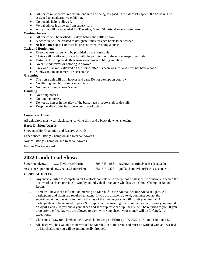- All horses must be worked within one week of being assigned. If this doesn't happen, the horse will be assigned to an alternative exhibitor.
- No outside help is allowed.
- Verbal advice is allowed from supervisors.
- A dry-run will be scheduled for Thursday, March 31, **attendance is mandatory**.

#### **Washing horses**

- All horses will be washed 1-2 days before the Little I show.
- A schedule will be created to designate times for each horse to be washed.
- **At least one** supervisor must be present when washing a horse.

#### **Tack and Equipment**

- Everyday use halters will be provided by the horse unit.
- Chains will be allowed, but only with the permission of the unit manager, Jen Eide.
- Participants will provide their own grooming and fitting supplies.
- No cattle adhesives or coloring is allowed.
- Only one blanket is allowed on the horse, after it's been washed, and must not have a hood.
- Slinkys and mane tamers are acceptable.

#### **Grooming**

- The horse unit will trim hooves and ears. Do not attempt on your own!!
- No altering length of forelocks and tails.
- No blunt cutting a horse's mane.

#### **Handling**

- No riding horses.
- No lunging horses.
- Do not tie horses in the alley of the barn, keep in a box stall or tie stall.
- Keep the alley of the barn clean and free of debris.

#### **Contestant Attire**

All exhibitors must wear black pants, a white shirt, and a black tie when showing

#### **Horse Division Awards**

Showmanship: Champion and Reserve Awards

Experienced Fitting: Champion and Reserve Awards

Novice Fitting: Champion and Reserve Awards

Hardest Worker Award

l

# **2022 Lamb Lead Show:**

| SuperintendentTaylor McMartin              | 605-743-4983 | taylor.mcmartin@jacks.sdstate.edu                   |
|--------------------------------------------|--------------|-----------------------------------------------------|
| Assistant SuperintendentJoella Chamberlain |              | $651-315-2423$ joella.chamberlain@jacks.sdstate.edu |

#### **GENERAL RULES**

- 1. Anyone is eligible to compete in all livestock contests with exceptions of all specific divisions in which the top award has been previously won by an individual or anyone who has won Grand Champion Round Robin.
- 2. There will be a sheep information meeting on March  $9<sup>th</sup>$  in the Animal Science Arena at 6 p.m. All participants and fitters are required to attend. If you are unable to attend, you must contact the superintendent or the assistant before the day of the meeting or you will forfeit your animal. All participants will be required to pay a \$50 deposit at this meeting to ensure that you will show your animal on April 1 and 2. If you show your sheep and show up for clean-up, the \$50 will be returned to you. If you drop after the first day you are allowed to work with your sheep, your money will be forfeited, no exceptions.
- 3. Clubs must draw for a lamb at the Livestock Drawing on February 9th, 2022, at 7 p.m. in Rotunda D.
- 4. All sheep will be available to be worked on March 21st at the arena and must be worked with and washed by March 23rd or you will be automatically dropped.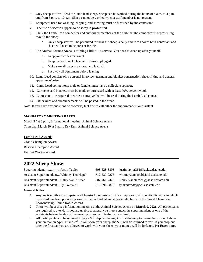- 5. Only sheep staff will feed the lamb lead sheep. Sheep can be worked during the hours of 8 a.m. to 4 p.m. and from 5 p.m. to 10 p.m. Sheep cannot be worked when a staff member is not present.
- 6. Equipment used for washing, clipping, and showing must be furnished by the contestant.
- 7. The use of electric clippers to fit sheep is **prohibited**.
- 8. Only the Lamb Lead competitor and authorized members of the club that the competitor is representing may fit the sheep.
	- a. Only sheep staff will be permitted to shear the sheep's belly and trim hooves both contestant and sheep will need to be present for this.
- 9. The Animal Science Arena is offering Little "I" a service. You need to clean up after yourself.
	- a. Keep your work area swept.
	- b. Keep the wash rack clean and drains unplugged.
	- c. Make sure all gates are closed and latched.
	- d. Put away all equipment before leaving.
- 10. Lamb Lead consists of: a personal interview, garment and blanket construction, sheep fitting and general appearance/poise.
- 11. Lamb Lead competitors, male or female, must have a collegiate sponsor.
- 12. Garments and blankets must be made or purchased with at least 70% percent wool.
- 13. Contestants are required to write a narrative that will be read during the Lamb Lead contest.
- 14. Other rules and announcements will be posted in the arena.

Note: If you have any questions or concerns, feel free to call either the superintendent or assistant.

#### **MANDATORY MEETING DATES**

March 9<sup>th</sup> at 6 p.m., Informational meeting, Animal Science Arena Thursday, March 30 at 6 p.m., Dry Run, Animal Science Arena

#### **Lamb Lead Awards**

Grand Champion Award Reserve Champion Award Hardest Worker Award

### **2022 Sheep Show:**

| SuperintendentJustin Taylor                 | 608-628-8893 | justin.taylor361@jacks.sdstate.edu |
|---------------------------------------------|--------------|------------------------------------|
| Assistant SuperintendentWhitney Ten Napel   | 712-539-9275 | whitney.tennapel@jacks.sdstate.edu |
| Assistant SuperintendentHaley Van Nurden    | 507-461-7422 | Haley.VanNurden@jacks.sdstate.edu  |
| <b>Assistant SuperintendentTy Skartvedt</b> | 515-291-8870 | ty.skartvedt@jacks.sdstate.edu     |

#### **General Rules**

l

- 1. Anyone is eligible to compete in all livestock contests with the exceptions to all specific divisions in which top award has been previously won by that individual and anyone who has won the Grand Champion Showmanship Round Robin Award.
- 2. There will be a sheep information meeting at the Animal Science Arena on **March 9, 2021.** All participants are required to attend. If you are unable to attend, you must contact the superintendent or one of the assistants before the day of the meeting or you will forfeit your animal.
- 3. All participants will be required to pay a \$50 deposit the night of the drawing to insure that you will show your animal on April 1<sup>st</sup> and 2<sup>nd</sup>. If you show your sheep, the \$50 will be returned to you. If you drop out after the first day you are allowed to work with your sheep, your money will be forfeited, **No Exceptions.**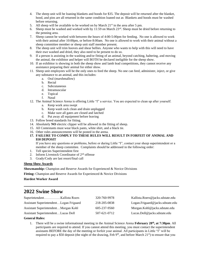- 4. The sheep unit will be loaning blankets and hoods for \$35. The deposit will be returned after the blanket, hood, and pins are all returned in the same condition loaned out as Blankets and hoods must be washed before returning.
- 5. All sheep will be available to be worked on by March  $21^{st}$  in the area after 5 pm.
- 6. Sheep must be washed and worked with by 11:59 on March  $23^{\text{rd}}$ . Sheep must be dried before returning to the penning area.
- 7. Sheep cannot be worked with between the hours of 4:00-5:00pm for feeding. No one is allowed to work with their animal after 10:00pm, or before 8:00am. No one is allowed to work with their animal without a sheep committee member or sheep unit staff member present.
- 8. The sheep unit will trim hooves and shear bellies. Anyone who wants to help with this will need to have their ewe washed and dried, they also need to be present to do so.
- 9. If a person is assisting in the washing and/or fitting of an animal, beyond catching, haltering, and moving the animal, the exhibitor and helper will BOTH be declared ineligible for the sheep show.
- 10. If an exhibitor is showing in both the sheep show and lamb lead competitions, they cannot receive any assistance preparing their animal for either show.
- 11. Sheep unit employees will be the only ones to feed the sheep. No one can feed, administer, inject, or give any substance to an animal, and this includes:
	- a. Oral (marshmallow)
	- b. Rectal
	- c. Subcutaneous
	- d. Intramuscular
	- e. Topical
	- f. Nasal
- 12. The Animal Science Arena is offering Little "I" a service. You are expected to clean up after yourself.
	- a. Keep work area swept
	- b. Keep wash rack clean and drain unplugged
	- c. Make sure all gates are closed and latched
	- d. Put away all equipment before leaving
- 13. Follow breed standards for fitting.
- 14. Absolutely **NO** electric clipper will be allowed in the fitting of sheep.
- 15. All Contestants must wear black pants, white shirt, and a black tie.
- 16. Other rules announcements will be posted in the arena.
- **17. FAILURE TO COMPLY TO THESE RULES WILL RESULT IN FORFEIT OF ANIMAL AND \$50 DEPOSIT**

If you have any questions or problems, before or during Little "I", contact your sheep superintendent or a member of the sheep committee. Complaints should be addressed in the following order:

- 1. Tell species Superintendent first
- 2. Inform Livestock Coordinator of 2nd offense
- 3. Grady/Cody are last resort/final call

#### **Sheep Show Awards**

**Showmanship:** Champion and Reserve Awards for Experienced & Novice Divisions

Fitting: Champion and Reserve Awards for Experienced & Novice Divisions

**Hardest Worker Award**

# **2022 Swine Show**

|                                        | 320-760-9978       | Kallista.Roers@jacks.sdstate.edu |
|----------------------------------------|--------------------|----------------------------------|
| Assistant SuperintendentLogan Frigaard | 218-205-0838       | Logan.Frigaard@jacks.sdstate.edu |
| Assistant SuperintendentMorgan Kohl    | $605 - 237 - 9560$ | Morgan.Kohl@jacks.sdstate.edu    |
| Assistant SuperintendentLucas Doll     | 507-621-0712       | Lucas.Doll@jacks.sdstate.edu     |

**General Rules:**

l

1. There will be a swine informational meeting in the Animal Science Arena **February 28th, at 7:30pm**. All participants are required to attend. If you cannot attend this meeting, you must contact the superintendent assistants BEFORE the day of the meeting or forfeit your animal. All participants in Little "I" will be required to pay a \$50 deposit (the night of the drawing, Feb 9<sup>th</sup>, and before March 21<sup>st</sup>) to ensure that you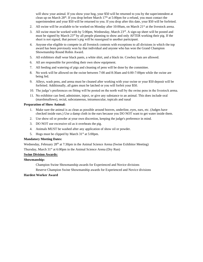will show your animal. If you show your hog, your \$50 will be returned to you by the superintendent at clean up on March  $28<sup>th</sup>$ . If you drop before March  $17<sup>th</sup>$  at 5:00pm for a refund, you must contact the superintendent and your \$50 will be returned to you. If you drop after this date, your \$50 will be forfeited.

- 2. All swine will be available to be worked on Monday after 10:00am, on March  $21<sup>st</sup>$  at the livestock arena.
- 3. All swine must be worked with by 5:00pm, Wednesday, March  $23<sup>rd</sup>$ . A sign-up sheet will be posted and must be signed by March 23<sup>rd</sup> by all people planning to show and only AFTER working their pig. If the sheet is not signed, that person's pig will be reassigned to another participant.
- 4. Anyone else eligible to compete in all livestock contests with exceptions to all divisions in which the top award has been previously won by that individual and anyone who has won the Grand Champion Showmanship Round Robin Award.
- 5. All exhibitors shall wear black pants, a white shirt, and a black tie. Cowboy hats are allowed.
- 6. All are responsible for providing their own show equipment.
- 7. All feeding and watering of pigs and cleaning of pens will be done by the committee.
- 8. No work will be allowed on the swine between 7:00 and 8:30am and 6:00-7:00pm while the swine are being fed.
- 9. Alleys, wash pens, and arena must be cleaned after working with your swine or your \$50 deposit will be forfeited. Additionally, all gates must be latched or you will forfeit your \$50.
- 10. The judge's preferences on fitting will be posted on the north wall by the swine pens in the livestock arena.
- 11. No exhibitor can feed, administer, inject, or give any substance to an animal. This does include oral (marshmallows), rectal, subcutaneous, intramuscular, topicals and nasal

#### **Preparation of Show Animal:**

- 1. Make sure the animal is as clean as possible around hooves, underline, eyes, ears, etc. (Judges have checked inside ears.) Use a damp cloth in the ears because you DO NOT want to get water inside them.
- 2. Use show oil or powder at your own discretion, keeping the judge's preference in mind.
- 3. DO NOT use excessive oil as it overheats the pig.
- 4. Animals MUST be washed after any application of show oil or powder.
- 5. Hogs must be clipped by March  $31<sup>st</sup>$  at  $5:00$ pm.

#### **Mandatory Meeting Dates:**

Wednesday, February 28<sup>th</sup> at 7:30pm in the Animal Science Arena (Swine Exhibitor Meeting)

Thursday, March 31<sup>st</sup> at 6:00pm in the Animal Science Arena (Dry Run)

#### **Swine Division Awards:**

#### **Showmanship:**

Champion Swine Showmanship awards for Experienced and Novice divisions

Reserve Champion Swine Showmanship awards for Experienced and Novice divisions

#### **Hardest Worker Award**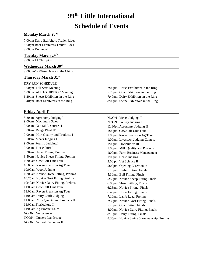# **99 th Little International**

# **Schedule of Events**

#### $\bf{Mondav \, March \, 28^{\rm nd}}$

7:00pm Dairy Exhibitors Trailer Rides 8:00pm Beef Exhibitors Trailer Rides 9:00pm Dodgeball

#### **Tuesday March 29th**

9:00pm LI Olympics

#### **Wednesday March 30th**

9:00pm-12:00am Dance in the Chips

#### **Thursday March 31st**

DRY RUN SCHEDULE: 6:00pm ALL EXHIBITOR Meeting 7:20pm Goat Exhibitors in the Ring

#### **Friday April 1st**

8:30am Agronomy Judging I 9:00am Machinery Sales 9:00am Natural Resources I 9:00am Range Plant ID 9:00am Milk Quality and Products I 9:00am Meats Judging I 9:00am Poultry Judging I 9:00am Floriculture I 9:30am Heifer Fitting, Prelims 9:50am Novice Sheep Fitting, Prelims 10:00am Cow/Calf Unit Tour 10:00am Raven Precision Ag Tour 10:00am Wool Judging 10:05am Novice Horse Fitting, Prelims 10:25am Novice Goat Fitting, Prelims 10:40am Novice Dairy Fitting, Prelims 11:00am Cow/Calf Unit Tour 11:00am Raven Precision Ag Tour 11:00am Dairy Cattle Judging 11:00am Milk Quality and Products II 11:00amFloriculture II 11:00am Ag Product Sales NOON Vet Science I NOON Nursery Landscape NOON Natural Resources II

5:00pm Full Staff Meeting 7:00pm Horse Exhibitors in the Ring 6:20pm Sheep Exhibitors in the Ring 7:40pm Dairy Exhibitors in the Ring 6:40pm Beef Exhibitors in the Ring 8:00pm Swine Exhibitors in the Ring

> NOON Meats Judging II NOON Poultry Judging II 12:30pmAgronomy Judging II 1:00pm Cow/Calf Unit Tour 1:00pm Raven Precision Ag Tour 1:00pm Livestock Judging Contest 1:00pm Floriculture III 1:00pm Milk Quality and Products III 1:00pm Farm Business Management 1:00pm Horse Judging 2:00 pm Vet Science II 5:00pm Opening Ceremonies 5:15pm Heifer Fitting, Finals 5:30pm Bull Fitting, Finals 5:50pm Novice Sheep Fitting Finals 6:05pm Sheep Fitting, Finals 6:25pm Novice Fitting, Finals 6:45pm Horse Fitting, Finals 7:10pm Lamb Lead, Prelims 7:30pm Novice Goat Fitting, Finals 7:45pm Goat Fitting, Finals 8:00pm Novice Dairy Fitting, Finals 8:15pm Dairy Fitting, Finals 8:35pm Novice Swine Showmanship, Prelims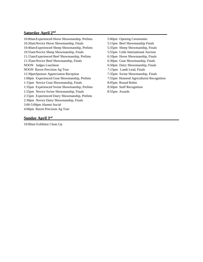#### **Saturday April 2nd**

10:00amExperienced Horse Showmanship, Prelims 5:00pm Opening Ceremonies 10:20amNovice Horse Showmanship, Finals 5:15pm Beef Showmanship Finals 10:40amExperienced Sheep Showmanship, Prelims 5:35pm Sheep Showmanship, Finals 10:55amNovice Sheep Showmanship, Finals 5:55pm Little International Auction 11:15amExperienced Beef Showmanship, Prelims 6:10pm Horse Showmanship, Finals 11:35amNovice Beef Showmanship, Finals 6:30pm Goat Showmanship, Finals NOON Judges Luncheon 6:50pm Dairy Showmanship, Finals NOON Raven Precision Ag Tour 7:15pm Lamb Lead, Finals 12:30pmSponsor Appreciation Reception 7:35pm Swine Showmanship, Finals 1:00pm Experienced Goat Showmanship, Prelims 7:55pm Honored Agriculturist Recognition 1:15pm Novice Goat Showmanship, Finals 8:05pm Round Robin 1:35pm Experienced Swine Showmanship, Prelims 8:50pm Staff Recognition 1:55pm Novice Swine Showmanship, Finals 8:55pm Awards 2:15pm Experienced Dairy Showmanship, Prelims 2:30pm Novice Dairy Showmanship, Finals 3:00-5:00pm Alumni Social 4:00pm Raven Precision Ag Tour

#### **Sunday April 3rd**

10:00am Exhibitor Clean Up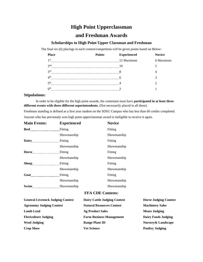### **High Point Upperclassman**

### **and Freshman Awards**

#### **Scholarships to High Point Upper Classman and Freshman**

The final six (6) placings in each contest/competition will be given points based on Below:

| <b>Place</b>    | <b>Points</b> | <b>Experienced</b> | <b>Novice</b> |
|-----------------|---------------|--------------------|---------------|
| 1 <sub>st</sub> |               | 12 Maximum         | 6 Maximum     |
| 2 <sub>nd</sub> |               |                    |               |
| 3 <sup>rd</sup> |               |                    |               |
| 4 <sup>th</sup> |               |                    |               |
| $\leq$ th       |               |                    |               |
| 6 <sup>th</sup> |               |                    |               |
|                 |               |                    |               |

#### **Stipulations:**

In order to be eligible for the high point awards, the contestant must have **participated in at least three different events with three different superintendents.** (Not necessarily placed in all three).

Freshman standing is defined as a first year student on the SDSU Campus who has less than 60 credits completed. Anyone who has previously won high point upperclassman award is ineligible to receive it again.

| <b>Main Events:</b>        | <b>Experienced</b> | <b>Novice</b> |
|----------------------------|--------------------|---------------|
| <b>Beef contained Beef</b> | Fitting            | Fitting       |
|                            | Showmanship        | Showmanship   |
| Dairy Fitting              |                    | Fitting       |
|                            | Showmanship        | Showmanship   |
| Horse <u>manual</u>        | Fitting            | Fitting       |
|                            | Showmanship        | Showmanship   |
| $Sheep$ [100]              | Fitting            | Fitting       |
|                            | Showmanship        | Showmanship   |
|                            | Fitting            | Fitting       |
|                            | Showmanship        | Showmanship   |
| <b>Swine</b> 2008 2014     | Showmanship        | Showmanship   |

#### **FFA CDE Contests:**

| <b>General Livestock Judging Contest</b> | <b>Dairy Cattle Judging Contest</b> | <b>Horse Judging Contest</b> |
|------------------------------------------|-------------------------------------|------------------------------|
| <b>Agronomy Judging Contest</b>          | <b>Natural Resources Contest</b>    | <b>Machinery Sales</b>       |
| <b>Lamb Lead</b>                         | <b>Ag Product Sales</b>             | <b>Meats Judging</b>         |
| <b>Floriculture Judging</b>              | <b>Farm Business Management</b>     | <b>Dairy Foods Judging</b>   |
| <b>Wool Judging</b>                      | <b>Range Plant ID</b>               | Nursery & Landscape          |
| <b>Crop Show</b>                         | <b>Vet Science</b>                  | <b>Poultry Judging</b>       |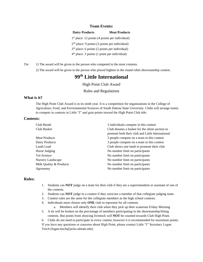#### **Team Events:**

| <b>Dairy Products</b>                            | <b>Meat Products</b> |
|--------------------------------------------------|----------------------|
| $1st$ place: 12 points (4 points per individual) |                      |
| $2nd$ place: 9 points (3 points per individual)  |                      |
| $3rd$ place: 6 points (2 points per individual)  |                      |
| $4th$ place: 3 points (1 point per individual)   |                      |

Tie: 1) The award will be given to the person who competed in the most contests.

2) The award will be given to the person who placed highest in the round robin showmanship contest.

# **99 th Little International**

High Point Club Award

Rules and Regulations

#### **What is it?**

The High Point Club Award is in its ninth year. It is a competition for organizations in the College of Agriculture, Food, and Environmental Sciences of South Dakota State University. Clubs will arrange teams to compete in contests in Little "I" and gain points toward the High Point Club title.

#### **Contests:**

| 3 individuals compete in this contest            |
|--------------------------------------------------|
| Club donates a basket for the silent auction to  |
| promote both their club and Little International |
| 3 people compete on a team in this contest       |
| 3 people compete on a team in this contest       |
| Club shows one lamb to promote their club        |
| No number limit on participants                  |
| No number limit on participants                  |
| No number limit on participants                  |
| No number limit on participants                  |
| No number limit on participants                  |
|                                                  |

#### **Rules:**

- 1. Students can **NOT** judge on a team for their club if they are a superintendent or assistant of one of the contests.
- 2. Students can **NOT** judge in a contest if they were/are a member of that collegiate judging team.
- 3. Contest rules are the same for the collegiate members as the high school contests.
- 4. Individuals must choose only **ONE** club to represent for all contests.
- a. Members will identify their club when they pick up their scantrons Friday Morning 5. A tie will be broken on the percentage of members participating in the showmanship/fitting
- contests. But points from showing livestock will **NOT** be counted towards Club High Point. 6. Clubs do not need to participate in every contest, however it is recommended for maximum points. If you have any questions or concerns about High Point, please contact Little "I" Secretary Logan

Tesch (logan.tesch@jacks.sdstate.edu)